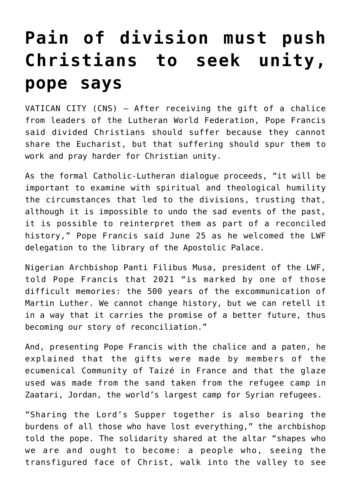## **[Pain of division must push](https://www.osvnews.com/amp/2021/06/25/pain-of-division-must-push-christians-to-seek-unity-pope-says/) [Christians to seek unity,](https://www.osvnews.com/amp/2021/06/25/pain-of-division-must-push-christians-to-seek-unity-pope-says/) [pope says](https://www.osvnews.com/amp/2021/06/25/pain-of-division-must-push-christians-to-seek-unity-pope-says/)**

VATICAN CITY (CNS) — After receiving the gift of a chalice from leaders of the Lutheran World Federation, Pope Francis said divided Christians should suffer because they cannot share the Eucharist, but that suffering should spur them to work and pray harder for Christian unity.

As the formal Catholic-Lutheran dialogue proceeds, "it will be important to examine with spiritual and theological humility the circumstances that led to the divisions, trusting that, although it is impossible to undo the sad events of the past, it is possible to reinterpret them as part of a reconciled history," Pope Francis said June 25 as he welcomed the LWF delegation to the library of the Apostolic Palace.

Nigerian Archbishop Panti Filibus Musa, president of the LWF, told Pope Francis that 2021 "is marked by one of those difficult memories: the 500 years of the excommunication of Martin Luther. We cannot change history, but we can retell it in a way that it carries the promise of a better future, thus becoming our story of reconciliation."

And, presenting Pope Francis with the chalice and a paten, he explained that the gifts were made by members of the ecumenical Community of Taizé in France and that the glaze used was made from the sand taken from the refugee camp in Zaatari, Jordan, the world's largest camp for Syrian refugees.

"Sharing the Lord's Supper together is also bearing the burdens of all those who have lost everything," the archbishop told the pope. The solidarity shared at the altar "shapes who we are and ought to become: a people who, seeing the transfigured face of Christ, walk into the valley to see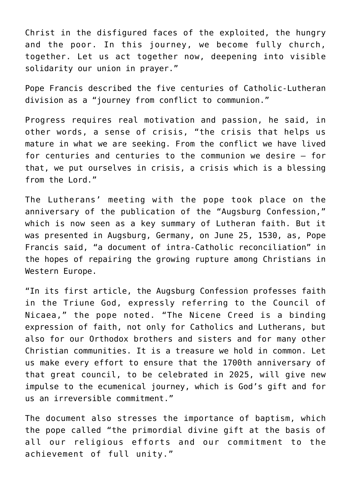Christ in the disfigured faces of the exploited, the hungry and the poor. In this journey, we become fully church, together. Let us act together now, deepening into visible solidarity our union in prayer."

Pope Francis described the five centuries of Catholic-Lutheran division as a "journey from conflict to communion."

Progress requires real motivation and passion, he said, in other words, a sense of crisis, "the crisis that helps us mature in what we are seeking. From the conflict we have lived for centuries and centuries to the communion we desire — for that, we put ourselves in crisis, a crisis which is a blessing from the Lord."

The Lutherans' meeting with the pope took place on the anniversary of the publication of the "Augsburg Confession," which is now seen as a key summary of Lutheran faith. But it was presented in Augsburg, Germany, on June 25, 1530, as, Pope Francis said, "a document of intra-Catholic reconciliation" in the hopes of repairing the growing rupture among Christians in Western Europe.

"In its first article, the Augsburg Confession professes faith in the Triune God, expressly referring to the Council of Nicaea," the pope noted. "The Nicene Creed is a binding expression of faith, not only for Catholics and Lutherans, but also for our Orthodox brothers and sisters and for many other Christian communities. It is a treasure we hold in common. Let us make every effort to ensure that the 1700th anniversary of that great council, to be celebrated in 2025, will give new impulse to the ecumenical journey, which is God's gift and for us an irreversible commitment."

The document also stresses the importance of baptism, which the pope called "the primordial divine gift at the basis of all our religious efforts and our commitment to the achievement of full unity."